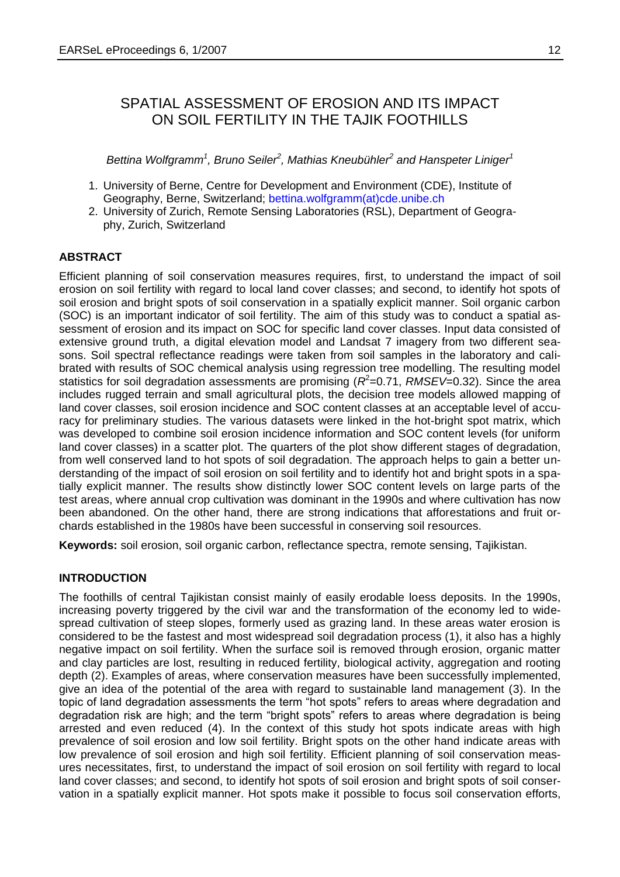# SPATIAL ASSESSMENT OF EROSION AND ITS IMPACT ON SOIL FERTILITY IN THE TAJIK FOOTHILLS

*Bettina Wolfgramm<sup>1</sup> , Bruno Seiler<sup>2</sup> , Mathias Kneubühler<sup>2</sup> and Hanspeter Liniger<sup>1</sup>*

- 1. University of Berne, Centre for Development and Environment (CDE), Institute of Geography, Berne, Switzerland; bettina.wolfgramm(at)cde.unibe.ch
- 2. University of Zurich, Remote Sensing Laboratories (RSL), Department of Geography, Zurich, Switzerland

# **ABSTRACT**

Efficient planning of soil conservation measures requires, first, to understand the impact of soil erosion on soil fertility with regard to local land cover classes; and second, to identify hot spots of soil erosion and bright spots of soil conservation in a spatially explicit manner. Soil organic carbon (SOC) is an important indicator of soil fertility. The aim of this study was to conduct a spatial assessment of erosion and its impact on SOC for specific land cover classes. Input data consisted of extensive ground truth, a digital elevation model and Landsat 7 imagery from two different seasons. Soil spectral reflectance readings were taken from soil samples in the laboratory and calibrated with results of SOC chemical analysis using regression tree modelling. The resulting model statistics for soil degradation assessments are promising ( $R^2$ =0.71, *RMSEV*=0.32). Since the area includes rugged terrain and small agricultural plots, the decision tree models allowed mapping of land cover classes, soil erosion incidence and SOC content classes at an acceptable level of accuracy for preliminary studies. The various datasets were linked in the hot-bright spot matrix, which was developed to combine soil erosion incidence information and SOC content levels (for uniform land cover classes) in a scatter plot. The quarters of the plot show different stages of degradation, from well conserved land to hot spots of soil degradation. The approach helps to gain a better understanding of the impact of soil erosion on soil fertility and to identify hot and bright spots in a spatially explicit manner. The results show distinctly lower SOC content levels on large parts of the test areas, where annual crop cultivation was dominant in the 1990s and where cultivation has now been abandoned. On the other hand, there are strong indications that afforestations and fruit orchards established in the 1980s have been successful in conserving soil resources.

**Keywords:** soil erosion, soil organic carbon, reflectance spectra, remote sensing, Tajikistan.

#### **INTRODUCTION**

The foothills of central Tajikistan consist mainly of easily erodable loess deposits. In the 1990s, increasing poverty triggered by the civil war and the transformation of the economy led to widespread cultivation of steep slopes, formerly used as grazing land. In these areas water erosion is considered to be the fastest and most widespread soil degradation process (1), it also has a highly negative impact on soil fertility. When the surface soil is removed through erosion, organic matter and clay particles are lost, resulting in reduced fertility, biological activity, aggregation and rooting depth (2). Examples of areas, where conservation measures have been successfully implemented, give an idea of the potential of the area with regard to sustainable land management (3). In the topic of land degradation assessments the term "hot spots" refers to areas where degradation and degradation risk are high; and the term "bright spots" refers to areas where degradation is being arrested and even reduced (4). In the context of this study hot spots indicate areas with high prevalence of soil erosion and low soil fertility. Bright spots on the other hand indicate areas with low prevalence of soil erosion and high soil fertility. Efficient planning of soil conservation measures necessitates, first, to understand the impact of soil erosion on soil fertility with regard to local land cover classes; and second, to identify hot spots of soil erosion and bright spots of soil conservation in a spatially explicit manner. Hot spots make it possible to focus soil conservation efforts,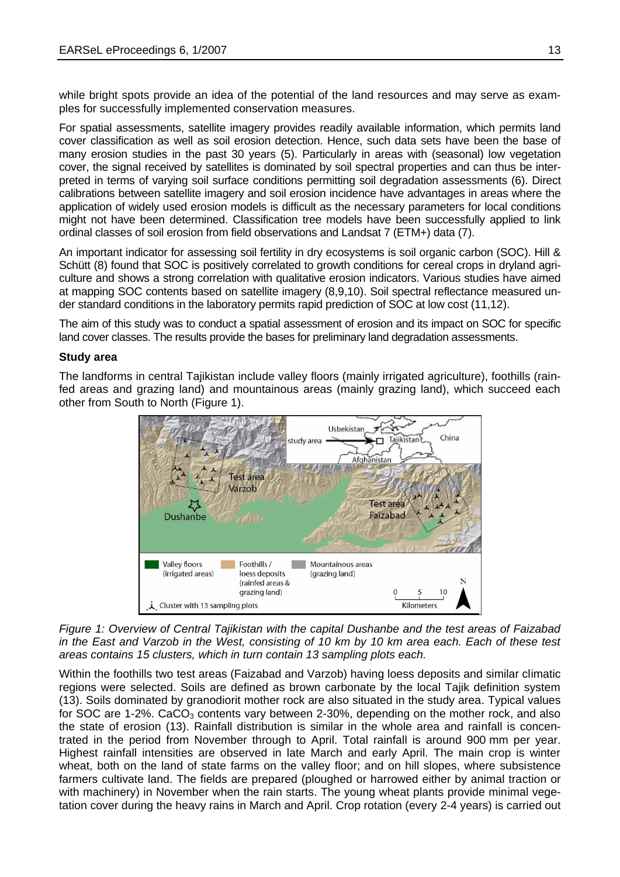while bright spots provide an idea of the potential of the land resources and may serve as examples for successfully implemented conservation measures.

For spatial assessments, satellite imagery provides readily available information, which permits land cover classification as well as soil erosion detection. Hence, such data sets have been the base of many erosion studies in the past 30 years (5). Particularly in areas with (seasonal) low vegetation cover, the signal received by satellites is dominated by soil spectral properties and can thus be interpreted in terms of varying soil surface conditions permitting soil degradation assessments (6). Direct calibrations between satellite imagery and soil erosion incidence have advantages in areas where the application of widely used erosion models is difficult as the necessary parameters for local conditions might not have been determined. Classification tree models have been successfully applied to link ordinal classes of soil erosion from field observations and Landsat 7 (ETM+) data (7).

An important indicator for assessing soil fertility in dry ecosystems is soil organic carbon (SOC). Hill & Schütt (8) found that SOC is positively correlated to growth conditions for cereal crops in dryland agriculture and shows a strong correlation with qualitative erosion indicators. Various studies have aimed at mapping SOC contents based on satellite imagery (8,9,10). Soil spectral reflectance measured under standard conditions in the laboratory permits rapid prediction of SOC at low cost (11,12).

The aim of this study was to conduct a spatial assessment of erosion and its impact on SOC for specific land cover classes. The results provide the bases for preliminary land degradation assessments.

# **Study area**

The landforms in central Tajikistan include valley floors (mainly irrigated agriculture), foothills (rainfed areas and grazing land) and mountainous areas (mainly grazing land), which succeed each other from South to North (Figure 1).



*Figure 1: Overview of Central Tajikistan with the capital Dushanbe and the test areas of Faizabad in the East and Varzob in the West, consisting of 10 km by 10 km area each. Each of these test areas contains 15 clusters, which in turn contain 13 sampling plots each.*

Within the foothills two test areas (Faizabad and Varzob) having loess deposits and similar climatic regions were selected. Soils are defined as brown carbonate by the local Tajik definition system (13). Soils dominated by granodiorit mother rock are also situated in the study area. Typical values for SOC are 1-2%. CaCO<sub>3</sub> contents vary between 2-30%, depending on the mother rock, and also the state of erosion (13). Rainfall distribution is similar in the whole area and rainfall is concentrated in the period from November through to April. Total rainfall is around 900 mm per year. Highest rainfall intensities are observed in late March and early April. The main crop is winter wheat, both on the land of state farms on the valley floor; and on hill slopes, where subsistence farmers cultivate land. The fields are prepared (ploughed or harrowed either by animal traction or with machinery) in November when the rain starts. The young wheat plants provide minimal vegetation cover during the heavy rains in March and April. Crop rotation (every 2-4 years) is carried out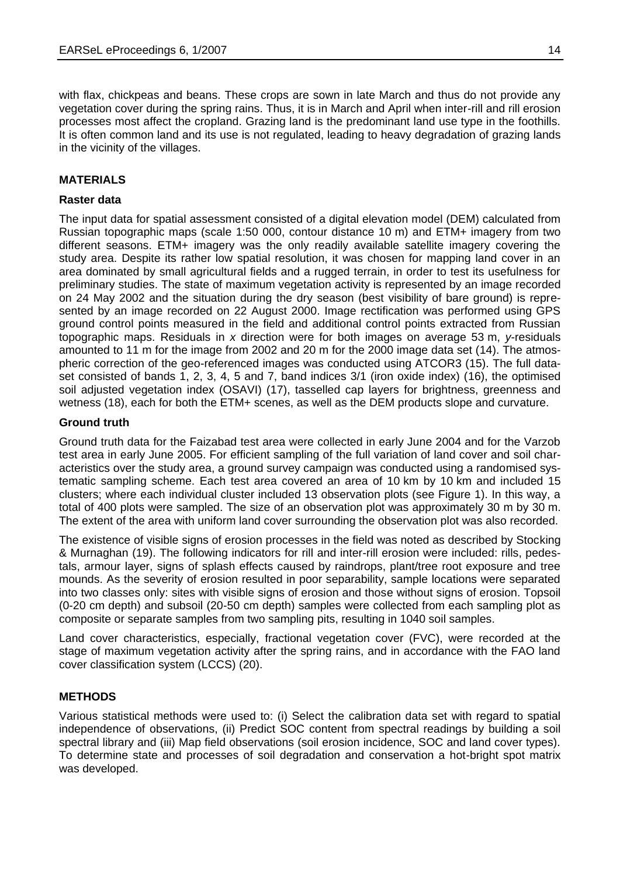with flax, chickpeas and beans. These crops are sown in late March and thus do not provide any vegetation cover during the spring rains. Thus, it is in March and April when inter-rill and rill erosion processes most affect the cropland. Grazing land is the predominant land use type in the foothills. It is often common land and its use is not regulated, leading to heavy degradation of grazing lands in the vicinity of the villages.

# **MATERIALS**

#### **Raster data**

The input data for spatial assessment consisted of a digital elevation model (DEM) calculated from Russian topographic maps (scale 1:50 000, contour distance 10 m) and ETM+ imagery from two different seasons. ETM+ imagery was the only readily available satellite imagery covering the study area. Despite its rather low spatial resolution, it was chosen for mapping land cover in an area dominated by small agricultural fields and a rugged terrain, in order to test its usefulness for preliminary studies. The state of maximum vegetation activity is represented by an image recorded on 24 May 2002 and the situation during the dry season (best visibility of bare ground) is represented by an image recorded on 22 August 2000. Image rectification was performed using GPS ground control points measured in the field and additional control points extracted from Russian topographic maps. Residuals in *x* direction were for both images on average 53 m, *y*-residuals amounted to 11 m for the image from 2002 and 20 m for the 2000 image data set (14). The atmospheric correction of the geo-referenced images was conducted using ATCOR3 (15). The full dataset consisted of bands 1, 2, 3, 4, 5 and 7, band indices 3/1 (iron oxide index) (16), the optimised soil adjusted vegetation index (OSAVI) (17), tasselled cap layers for brightness, greenness and wetness (18), each for both the ETM+ scenes, as well as the DEM products slope and curvature.

#### **Ground truth**

Ground truth data for the Faizabad test area were collected in early June 2004 and for the Varzob test area in early June 2005. For efficient sampling of the full variation of land cover and soil characteristics over the study area, a ground survey campaign was conducted using a randomised systematic sampling scheme. Each test area covered an area of 10 km by 10 km and included 15 clusters; where each individual cluster included 13 observation plots (see Figure 1). In this way, a total of 400 plots were sampled. The size of an observation plot was approximately 30 m by 30 m. The extent of the area with uniform land cover surrounding the observation plot was also recorded.

The existence of visible signs of erosion processes in the field was noted as described by Stocking & Murnaghan (19). The following indicators for rill and inter-rill erosion were included: rills, pedestals, armour layer, signs of splash effects caused by raindrops, plant/tree root exposure and tree mounds. As the severity of erosion resulted in poor separability, sample locations were separated into two classes only: sites with visible signs of erosion and those without signs of erosion. Topsoil (0-20 cm depth) and subsoil (20-50 cm depth) samples were collected from each sampling plot as composite or separate samples from two sampling pits, resulting in 1040 soil samples.

Land cover characteristics, especially, fractional vegetation cover (FVC), were recorded at the stage of maximum vegetation activity after the spring rains, and in accordance with the FAO land cover classification system (LCCS) (20).

#### **METHODS**

Various statistical methods were used to: (i) Select the calibration data set with regard to spatial independence of observations, (ii) Predict SOC content from spectral readings by building a soil spectral library and (iii) Map field observations (soil erosion incidence, SOC and land cover types). To determine state and processes of soil degradation and conservation a hot-bright spot matrix was developed.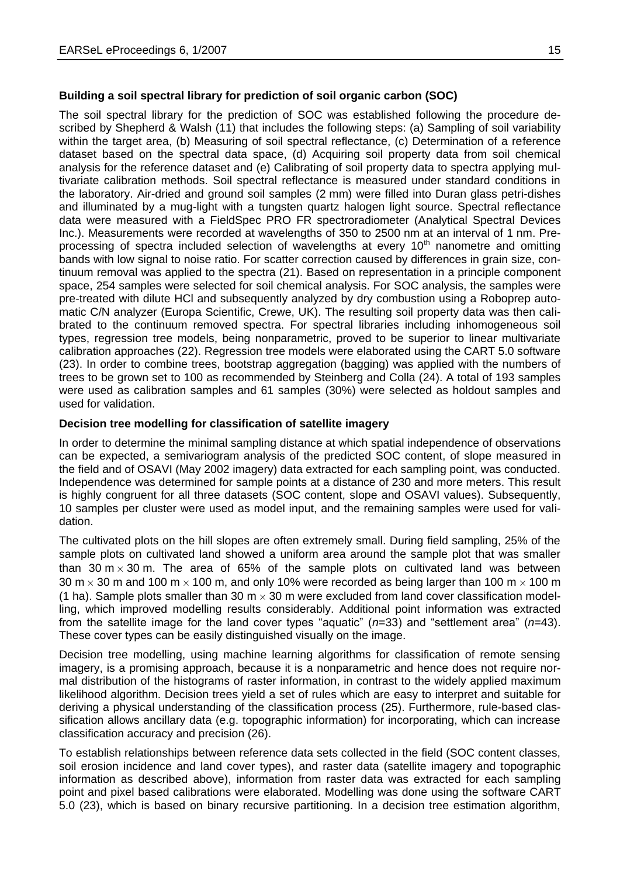# **Building a soil spectral library for prediction of soil organic carbon (SOC)**

The soil spectral library for the prediction of SOC was established following the procedure described by Shepherd & Walsh (11) that includes the following steps: (a) Sampling of soil variability within the target area, (b) Measuring of soil spectral reflectance, (c) Determination of a reference dataset based on the spectral data space, (d) Acquiring soil property data from soil chemical analysis for the reference dataset and (e) Calibrating of soil property data to spectra applying multivariate calibration methods. Soil spectral reflectance is measured under standard conditions in the laboratory. Air-dried and ground soil samples (2 mm) were filled into Duran glass petri-dishes and illuminated by a mug-light with a tungsten quartz halogen light source. Spectral reflectance data were measured with a FieldSpec PRO FR spectroradiometer (Analytical Spectral Devices Inc.). Measurements were recorded at wavelengths of 350 to 2500 nm at an interval of 1 nm. Preprocessing of spectra included selection of wavelengths at every  $10<sup>th</sup>$  nanometre and omitting bands with low signal to noise ratio. For scatter correction caused by differences in grain size, continuum removal was applied to the spectra (21). Based on representation in a principle component space, 254 samples were selected for soil chemical analysis. For SOC analysis, the samples were pre-treated with dilute HCl and subsequently analyzed by dry combustion using a Roboprep automatic C/N analyzer (Europa Scientific, Crewe, UK). The resulting soil property data was then calibrated to the continuum removed spectra. For spectral libraries including inhomogeneous soil types, regression tree models, being nonparametric, proved to be superior to linear multivariate calibration approaches (22). Regression tree models were elaborated using the CART 5.0 software (23). In order to combine trees, bootstrap aggregation (bagging) was applied with the numbers of trees to be grown set to 100 as recommended by Steinberg and Colla (24). A total of 193 samples were used as calibration samples and 61 samples (30%) were selected as holdout samples and used for validation.

#### **Decision tree modelling for classification of satellite imagery**

In order to determine the minimal sampling distance at which spatial independence of observations can be expected, a semivariogram analysis of the predicted SOC content, of slope measured in the field and of OSAVI (May 2002 imagery) data extracted for each sampling point, was conducted. Independence was determined for sample points at a distance of 230 and more meters. This result is highly congruent for all three datasets (SOC content, slope and OSAVI values). Subsequently, 10 samples per cluster were used as model input, and the remaining samples were used for validation.

The cultivated plots on the hill slopes are often extremely small. During field sampling, 25% of the sample plots on cultivated land showed a uniform area around the sample plot that was smaller than 30  $m \times 30$  m. The area of 65% of the sample plots on cultivated land was between 30 m  $\times$  30 m and 100 m  $\times$  100 m, and only 10% were recorded as being larger than 100 m  $\times$  100 m (1 ha). Sample plots smaller than 30 m  $\times$  30 m were excluded from land cover classification modelling, which improved modelling results considerably. Additional point information was extracted from the satellite image for the land cover types "aquatic" (*n*=33) and "settlement area" (*n*=43). These cover types can be easily distinguished visually on the image.

Decision tree modelling, using machine learning algorithms for classification of remote sensing imagery, is a promising approach, because it is a nonparametric and hence does not require normal distribution of the histograms of raster information, in contrast to the widely applied maximum likelihood algorithm. Decision trees yield a set of rules which are easy to interpret and suitable for deriving a physical understanding of the classification process (25). Furthermore, rule-based classification allows ancillary data (e.g. topographic information) for incorporating, which can increase classification accuracy and precision (26).

To establish relationships between reference data sets collected in the field (SOC content classes, soil erosion incidence and land cover types), and raster data (satellite imagery and topographic information as described above), information from raster data was extracted for each sampling point and pixel based calibrations were elaborated. Modelling was done using the software CART 5.0 (23), which is based on binary recursive partitioning. In a decision tree estimation algorithm,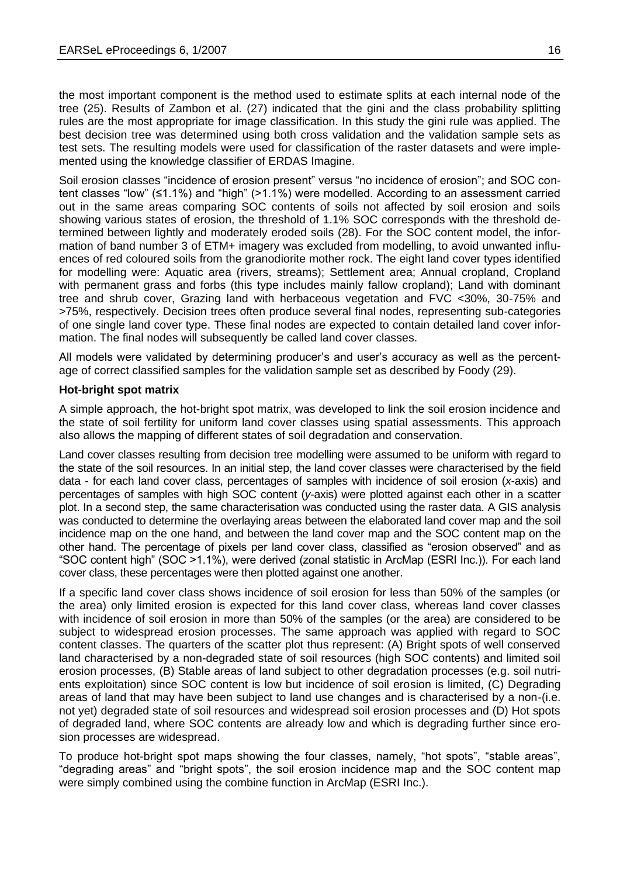the most important component is the method used to estimate splits at each internal node of the tree (25). Results of Zambon et al. (27) indicated that the gini and the class probability splitting rules are the most appropriate for image classification. In this study the gini rule was applied. The best decision tree was determined using both cross validation and the validation sample sets as test sets. The resulting models were used for classification of the raster datasets and were implemented using the knowledge classifier of ERDAS Imagine.

Soil erosion classes "incidence of erosion present" versus "no incidence of erosion"; and SOC content classes "low" (≤1.1%) and "high" (>1.1%) were modelled. According to an assessment carried out in the same areas comparing SOC contents of soils not affected by soil erosion and soils showing various states of erosion, the threshold of 1.1% SOC corresponds with the threshold determined between lightly and moderately eroded soils (28). For the SOC content model, the information of band number 3 of ETM+ imagery was excluded from modelling, to avoid unwanted influences of red coloured soils from the granodiorite mother rock. The eight land cover types identified for modelling were: Aquatic area (rivers, streams); Settlement area; Annual cropland, Cropland with permanent grass and forbs (this type includes mainly fallow cropland); Land with dominant tree and shrub cover, Grazing land with herbaceous vegetation and FVC <30%, 30-75% and >75%, respectively. Decision trees often produce several final nodes, representing sub-categories of one single land cover type. These final nodes are expected to contain detailed land cover information. The final nodes will subsequently be called land cover classes.

All models were validated by determining producer's and user's accuracy as well as the percentage of correct classified samples for the validation sample set as described by Foody (29).

#### **Hot-bright spot matrix**

A simple approach, the hot-bright spot matrix, was developed to link the soil erosion incidence and the state of soil fertility for uniform land cover classes using spatial assessments. This approach also allows the mapping of different states of soil degradation and conservation.

Land cover classes resulting from decision tree modelling were assumed to be uniform with regard to the state of the soil resources. In an initial step, the land cover classes were characterised by the field data - for each land cover class, percentages of samples with incidence of soil erosion (*x*-axis) and percentages of samples with high SOC content (*y*-axis) were plotted against each other in a scatter plot. In a second step, the same characterisation was conducted using the raster data. A GIS analysis was conducted to determine the overlaying areas between the elaborated land cover map and the soil incidence map on the one hand, and between the land cover map and the SOC content map on the other hand. The percentage of pixels per land cover class, classified as "erosion observed" and as "SOC content high" (SOC >1.1%), were derived (zonal statistic in ArcMap (ESRI Inc.)). For each land cover class, these percentages were then plotted against one another.

If a specific land cover class shows incidence of soil erosion for less than 50% of the samples (or the area) only limited erosion is expected for this land cover class, whereas land cover classes with incidence of soil erosion in more than 50% of the samples (or the area) are considered to be subject to widespread erosion processes. The same approach was applied with regard to SOC content classes. The quarters of the scatter plot thus represent: (A) Bright spots of well conserved land characterised by a non-degraded state of soil resources (high SOC contents) and limited soil erosion processes, (B) Stable areas of land subject to other degradation processes (e.g. soil nutrients exploitation) since SOC content is low but incidence of soil erosion is limited, (C) Degrading areas of land that may have been subject to land use changes and is characterised by a non-(i.e. not yet) degraded state of soil resources and widespread soil erosion processes and (D) Hot spots of degraded land, where SOC contents are already low and which is degrading further since erosion processes are widespread.

To produce hot-bright spot maps showing the four classes, namely, "hot spots", "stable areas", "degrading areas" and "bright spots", the soil erosion incidence map and the SOC content map were simply combined using the combine function in ArcMap (ESRI Inc.).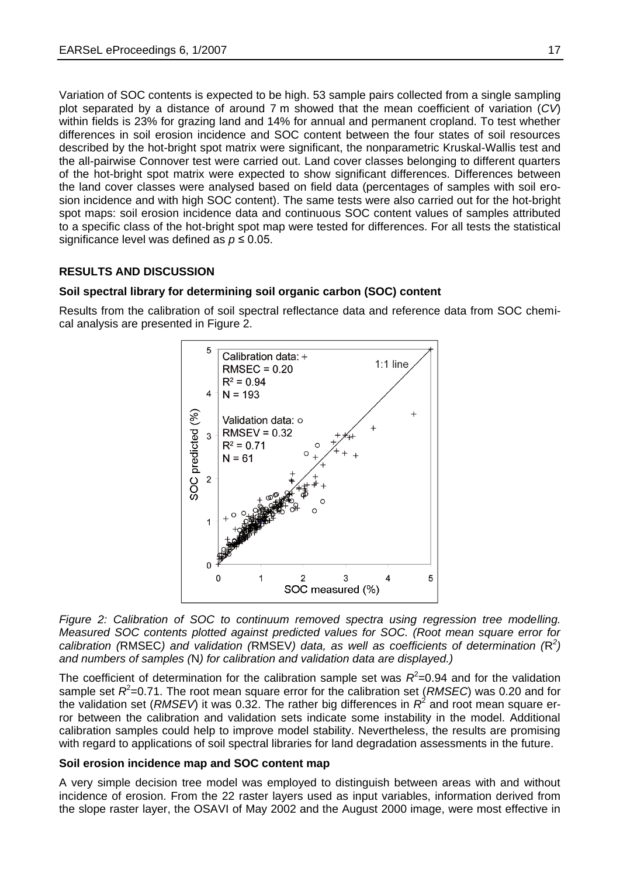Variation of SOC contents is expected to be high. 53 sample pairs collected from a single sampling plot separated by a distance of around 7 m showed that the mean coefficient of variation (*CV*) within fields is 23% for grazing land and 14% for annual and permanent cropland. To test whether differences in soil erosion incidence and SOC content between the four states of soil resources described by the hot-bright spot matrix were significant, the nonparametric Kruskal-Wallis test and the all-pairwise Connover test were carried out. Land cover classes belonging to different quarters of the hot-bright spot matrix were expected to show significant differences. Differences between the land cover classes were analysed based on field data (percentages of samples with soil erosion incidence and with high SOC content). The same tests were also carried out for the hot-bright spot maps: soil erosion incidence data and continuous SOC content values of samples attributed to a specific class of the hot-bright spot map were tested for differences. For all tests the statistical significance level was defined as  $p \le 0.05$ .

# **RESULTS AND DISCUSSION**

#### **Soil spectral library for determining soil organic carbon (SOC) content**

Results from the calibration of soil spectral reflectance data and reference data from SOC chemical analysis are presented in Figure 2.



*Figure 2: Calibration of SOC to continuum removed spectra using regression tree modelling. Measured SOC contents plotted against predicted values for SOC. (Root mean square error for calibration (*RMSEC*) and validation (*RMSEV*) data, as well as coefficients of determination (*R *2 ) and numbers of samples (*N*) for calibration and validation data are displayed.)*

The coefficient of determination for the calibration sample set was  $R^2$ =0.94 and for the validation sample set  $R^2$ =0.71. The root mean square error for the calibration set (*RMSEC*) was 0.20 and for the validation set (*RMSEV*) it was 0.32. The rather big differences in *R* 2 and root mean square error between the calibration and validation sets indicate some instability in the model. Additional calibration samples could help to improve model stability. Nevertheless, the results are promising with regard to applications of soil spectral libraries for land degradation assessments in the future.

#### **Soil erosion incidence map and SOC content map**

A very simple decision tree model was employed to distinguish between areas with and without incidence of erosion. From the 22 raster layers used as input variables, information derived from the slope raster layer, the OSAVI of May 2002 and the August 2000 image, were most effective in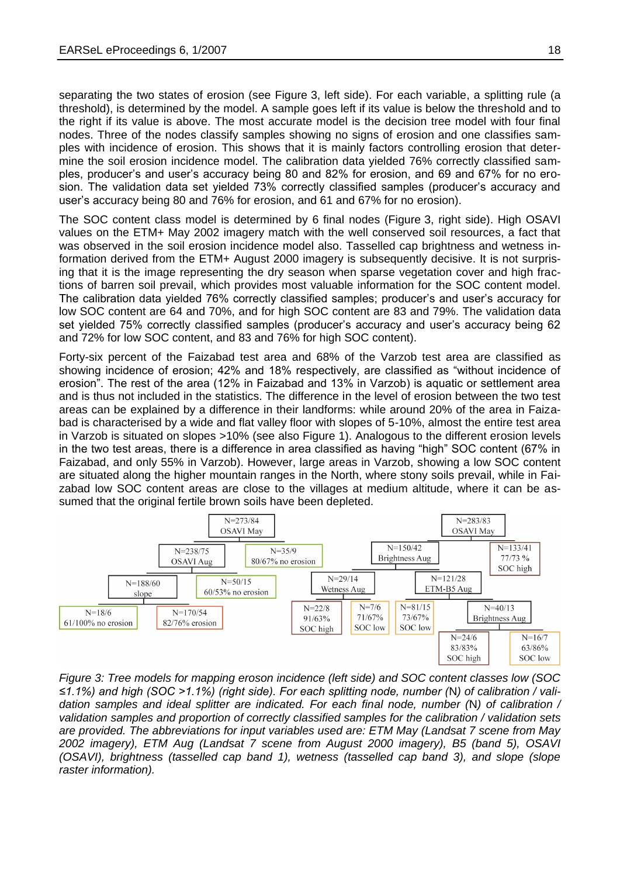separating the two states of erosion (see Figure 3, left side). For each variable, a splitting rule (a threshold), is determined by the model. A sample goes left if its value is below the threshold and to the right if its value is above. The most accurate model is the decision tree model with four final nodes. Three of the nodes classify samples showing no signs of erosion and one classifies samples with incidence of erosion. This shows that it is mainly factors controlling erosion that determine the soil erosion incidence model. The calibration data yielded 76% correctly classified samples, producer's and user's accuracy being 80 and 82% for erosion, and 69 and 67% for no erosion. The validation data set yielded 73% correctly classified samples (producer's accuracy and user's accuracy being 80 and 76% for erosion, and 61 and 67% for no erosion).

The SOC content class model is determined by 6 final nodes (Figure 3, right side). High OSAVI values on the ETM+ May 2002 imagery match with the well conserved soil resources, a fact that was observed in the soil erosion incidence model also. Tasselled cap brightness and wetness information derived from the ETM+ August 2000 imagery is subsequently decisive. It is not surprising that it is the image representing the dry season when sparse vegetation cover and high fractions of barren soil prevail, which provides most valuable information for the SOC content model. The calibration data yielded 76% correctly classified samples; producer's and user's accuracy for low SOC content are 64 and 70%, and for high SOC content are 83 and 79%. The validation data set yielded 75% correctly classified samples (producer's accuracy and user's accuracy being 62 and 72% for low SOC content, and 83 and 76% for high SOC content).

Forty-six percent of the Faizabad test area and 68% of the Varzob test area are classified as showing incidence of erosion; 42% and 18% respectively, are classified as "without incidence of erosion". The rest of the area (12% in Faizabad and 13% in Varzob) is aquatic or settlement area and is thus not included in the statistics. The difference in the level of erosion between the two test areas can be explained by a difference in their landforms: while around 20% of the area in Faizabad is characterised by a wide and flat valley floor with slopes of 5-10%, almost the entire test area in Varzob is situated on slopes >10% (see also Figure 1). Analogous to the different erosion levels in the two test areas, there is a difference in area classified as having "high" SOC content (67% in Faizabad, and only 55% in Varzob). However, large areas in Varzob, showing a low SOC content are situated along the higher mountain ranges in the North, where stony soils prevail, while in Faizabad low SOC content areas are close to the villages at medium altitude, where it can be assumed that the original fertile brown soils have been depleted.



*Figure 3: Tree models for mapping eroson incidence (left side) and SOC content classes low (SOC ≤1.1%) and high (SOC >1.1%) (right side). For each splitting node, number (*N*) of calibration / validation samples and ideal splitter are indicated. For each final node, number (*N*) of calibration / validation samples and proportion of correctly classified samples for the calibration / validation sets are provided. The abbreviations for input variables used are: ETM May (Landsat 7 scene from May 2002 imagery), ETM Aug (Landsat 7 scene from August 2000 imagery), B5 (band 5), OSAVI (OSAVI), brightness (tasselled cap band 1), wetness (tasselled cap band 3), and slope (slope raster information).*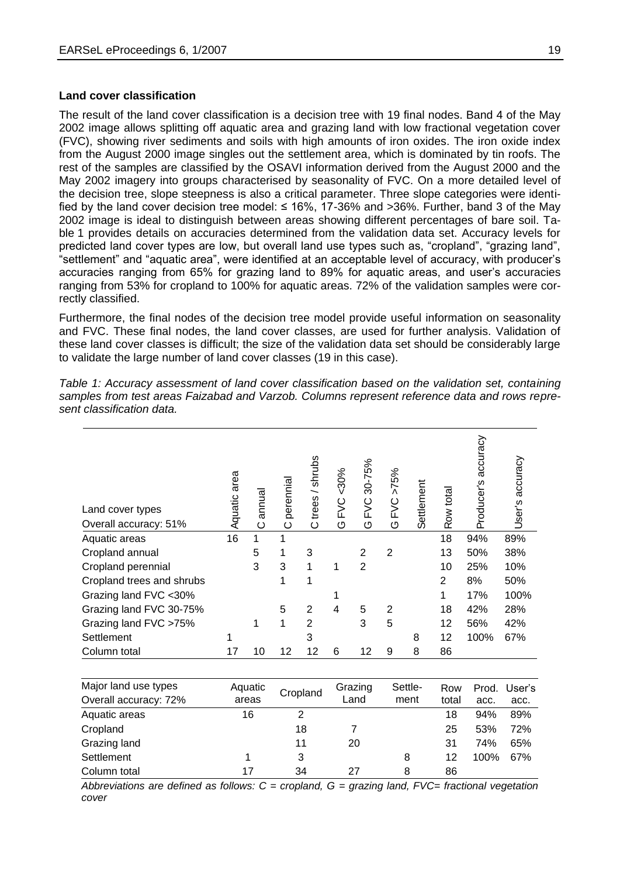#### **Land cover classification**

The result of the land cover classification is a decision tree with 19 final nodes. Band 4 of the May 2002 image allows splitting off aquatic area and grazing land with low fractional vegetation cover (FVC), showing river sediments and soils with high amounts of iron oxides. The iron oxide index from the August 2000 image singles out the settlement area, which is dominated by tin roofs. The rest of the samples are classified by the OSAVI information derived from the August 2000 and the May 2002 imagery into groups characterised by seasonality of FVC. On a more detailed level of the decision tree, slope steepness is also a critical parameter. Three slope categories were identified by the land cover decision tree model:  $\leq 16\%$ , 17-36% and >36%. Further, band 3 of the May 2002 image is ideal to distinguish between areas showing different percentages of bare soil. Table 1 provides details on accuracies determined from the validation data set. Accuracy levels for predicted land cover types are low, but overall land use types such as, "cropland", "grazing land", "settlement" and "aquatic area", were identified at an acceptable level of accuracy, with producer's accuracies ranging from 65% for grazing land to 89% for aquatic areas, and user's accuracies ranging from 53% for cropland to 100% for aquatic areas. 72% of the validation samples were correctly classified.

Furthermore, the final nodes of the decision tree model provide useful information on seasonality and FVC. These final nodes, the land cover classes, are used for further analysis. Validation of these land cover classes is difficult; the size of the validation data set should be considerably large to validate the large number of land cover classes (19 in this case).

*Table 1: Accuracy assessment of land cover classification based on the validation set, containing samples from test areas Faizabad and Varzob. Columns represent reference data and rows represent classification data.*

| Land cover types<br>Overall accuracy: 51% | area<br>Aquatic | annual<br>ပ | perennial<br>$\circ$ | trees / shrubs<br>ပ | $&0\%$<br><b>DA</b><br>O | 30-75%<br>D/C<br>O | $>75\%$<br><b>DA</b><br>O | Settlement | Row total | accuracy<br>Producer's | User's accuracy |
|-------------------------------------------|-----------------|-------------|----------------------|---------------------|--------------------------|--------------------|---------------------------|------------|-----------|------------------------|-----------------|
| Aquatic areas                             | 16              | 1           |                      |                     |                          |                    |                           |            | 18        | 94%                    | 89%             |
| Cropland annual                           |                 | 5           | 1                    | 3                   |                          | $\overline{2}$     | $\overline{2}$            |            | 13        | 50%                    | 38%             |
| Cropland perennial                        |                 | 3           | 3                    | 1                   | 1                        | $\overline{2}$     |                           |            | 10        | 25%                    | 10%             |
| Cropland trees and shrubs                 |                 |             | 1                    | 1                   |                          |                    |                           |            | 2         | 8%                     | 50%             |
| Grazing land FVC <30%                     |                 |             |                      |                     |                          |                    |                           |            | 1         | 17%                    | 100%            |
| Grazing land FVC 30-75%                   |                 |             | 5                    | 2                   | 4                        | 5                  | $\overline{2}$            |            | 18        | 42%                    | 28%             |
| Grazing land FVC >75%                     |                 | 1           | 1                    | $\overline{2}$      |                          | 3                  | 5                         |            | 12        | 56%                    | 42%             |
| Settlement                                | 1               |             |                      | 3                   |                          |                    |                           | 8          | 12        | 100%                   | 67%             |
| Column total                              | 17              | 10          | 12                   | 12                  | 6                        | 12                 | 9                         | 8          | 86        |                        |                 |

| Major land use types  | Aquatic | Cropland | Grazing | Settle- | Row   |      | Prod. User's |
|-----------------------|---------|----------|---------|---------|-------|------|--------------|
| Overall accuracy: 72% | areas   |          | Land    | ment    | total | acc. | acc.         |
| Aquatic areas         | 16      | 2        |         |         | 18    | 94%  | 89%          |
| Cropland              |         | 18       |         |         | 25    | 53%  | 72%          |
| Grazing land          |         | 11       | 20      |         | 31    | 74%  | 65%          |
| Settlement            |         | 3        |         | 8       | 12    | 100% | 67%          |
| Column total          | 17      | 34       | 27      | 8       | 86    |      |              |

*Abbreviations are defined as follows: C = cropland, G = grazing land, FVC= fractional vegetation cover*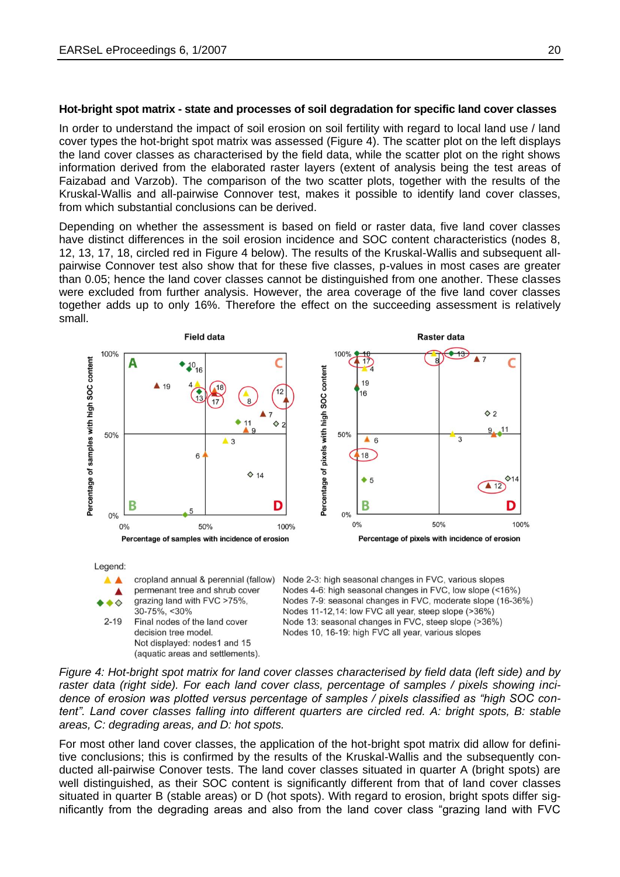#### **Hot-bright spot matrix - state and processes of soil degradation for specific land cover classes**

In order to understand the impact of soil erosion on soil fertility with regard to local land use / land cover types the hot-bright spot matrix was assessed (Figure 4). The scatter plot on the left displays the land cover classes as characterised by the field data, while the scatter plot on the right shows information derived from the elaborated raster layers (extent of analysis being the test areas of Faizabad and Varzob). The comparison of the two scatter plots, together with the results of the Kruskal-Wallis and all-pairwise Connover test, makes it possible to identify land cover classes, from which substantial conclusions can be derived.

Depending on whether the assessment is based on field or raster data, five land cover classes have distinct differences in the soil erosion incidence and SOC content characteristics (nodes 8, 12, 13, 17, 18, circled red in Figure 4 below). The results of the Kruskal-Wallis and subsequent allpairwise Connover test also show that for these five classes, p-values in most cases are greater than 0.05; hence the land cover classes cannot be distinguished from one another. These classes were excluded from further analysis. However, the area coverage of the five land cover classes together adds up to only 16%. Therefore the effect on the succeeding assessment is relatively small.



Legend:



*Figure 4: Hot-bright spot matrix for land cover classes characterised by field data (left side) and by raster data (right side). For each land cover class, percentage of samples / pixels showing incidence of erosion was plotted versus percentage of samples / pixels classified as "high SOC content". Land cover classes falling into different quarters are circled red. A: bright spots, B: stable areas, C: degrading areas, and D: hot spots.*

For most other land cover classes, the application of the hot-bright spot matrix did allow for definitive conclusions; this is confirmed by the results of the Kruskal-Wallis and the subsequently conducted all-pairwise Conover tests. The land cover classes situated in quarter A (bright spots) are well distinguished, as their SOC content is significantly different from that of land cover classes situated in quarter B (stable areas) or D (hot spots). With regard to erosion, bright spots differ significantly from the degrading areas and also from the land cover class "grazing land with FVC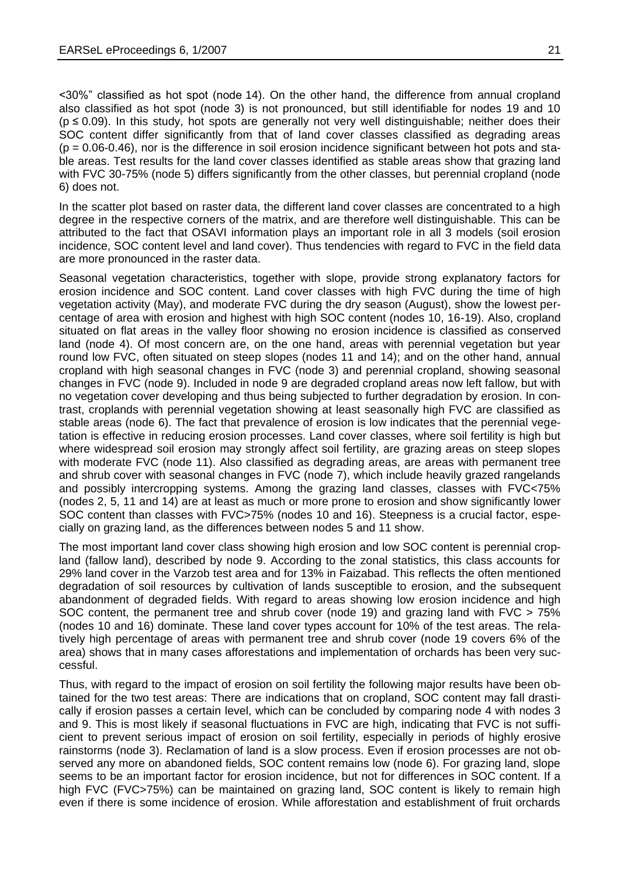<30%" classified as hot spot (node 14). On the other hand, the difference from annual cropland also classified as hot spot (node 3) is not pronounced, but still identifiable for nodes 19 and 10  $(p \le 0.09)$ . In this study, hot spots are generally not very well distinguishable; neither does their SOC content differ significantly from that of land cover classes classified as degrading areas  $(p = 0.06-0.46)$ , nor is the difference in soil erosion incidence significant between hot pots and stable areas. Test results for the land cover classes identified as stable areas show that grazing land with FVC 30-75% (node 5) differs significantly from the other classes, but perennial cropland (node 6) does not.

In the scatter plot based on raster data, the different land cover classes are concentrated to a high degree in the respective corners of the matrix, and are therefore well distinguishable. This can be attributed to the fact that OSAVI information plays an important role in all 3 models (soil erosion incidence, SOC content level and land cover). Thus tendencies with regard to FVC in the field data are more pronounced in the raster data.

Seasonal vegetation characteristics, together with slope, provide strong explanatory factors for erosion incidence and SOC content. Land cover classes with high FVC during the time of high vegetation activity (May), and moderate FVC during the dry season (August), show the lowest percentage of area with erosion and highest with high SOC content (nodes 10, 16-19). Also, cropland situated on flat areas in the valley floor showing no erosion incidence is classified as conserved land (node 4). Of most concern are, on the one hand, areas with perennial vegetation but year round low FVC, often situated on steep slopes (nodes 11 and 14); and on the other hand, annual cropland with high seasonal changes in FVC (node 3) and perennial cropland, showing seasonal changes in FVC (node 9). Included in node 9 are degraded cropland areas now left fallow, but with no vegetation cover developing and thus being subjected to further degradation by erosion. In contrast, croplands with perennial vegetation showing at least seasonally high FVC are classified as stable areas (node 6). The fact that prevalence of erosion is low indicates that the perennial vegetation is effective in reducing erosion processes. Land cover classes, where soil fertility is high but where widespread soil erosion may strongly affect soil fertility, are grazing areas on steep slopes with moderate FVC (node 11). Also classified as degrading areas, are areas with permanent tree and shrub cover with seasonal changes in FVC (node 7), which include heavily grazed rangelands and possibly intercropping systems. Among the grazing land classes, classes with FVC<75% (nodes 2, 5, 11 and 14) are at least as much or more prone to erosion and show significantly lower SOC content than classes with FVC>75% (nodes 10 and 16). Steepness is a crucial factor, especially on grazing land, as the differences between nodes 5 and 11 show.

The most important land cover class showing high erosion and low SOC content is perennial cropland (fallow land), described by node 9. According to the zonal statistics, this class accounts for 29% land cover in the Varzob test area and for 13% in Faizabad. This reflects the often mentioned degradation of soil resources by cultivation of lands susceptible to erosion, and the subsequent abandonment of degraded fields. With regard to areas showing low erosion incidence and high SOC content, the permanent tree and shrub cover (node 19) and grazing land with FVC > 75% (nodes 10 and 16) dominate. These land cover types account for 10% of the test areas. The relatively high percentage of areas with permanent tree and shrub cover (node 19 covers 6% of the area) shows that in many cases afforestations and implementation of orchards has been very successful.

Thus, with regard to the impact of erosion on soil fertility the following major results have been obtained for the two test areas: There are indications that on cropland, SOC content may fall drastically if erosion passes a certain level, which can be concluded by comparing node 4 with nodes 3 and 9. This is most likely if seasonal fluctuations in FVC are high, indicating that FVC is not sufficient to prevent serious impact of erosion on soil fertility, especially in periods of highly erosive rainstorms (node 3). Reclamation of land is a slow process. Even if erosion processes are not observed any more on abandoned fields, SOC content remains low (node 6). For grazing land, slope seems to be an important factor for erosion incidence, but not for differences in SOC content. If a high FVC (FVC>75%) can be maintained on grazing land, SOC content is likely to remain high even if there is some incidence of erosion. While afforestation and establishment of fruit orchards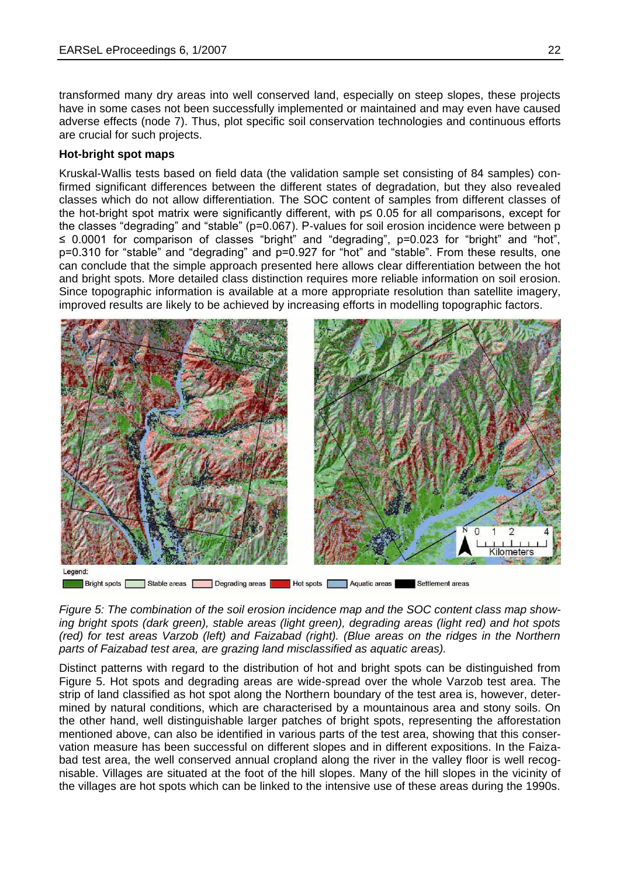transformed many dry areas into well conserved land, especially on steep slopes, these projects have in some cases not been successfully implemented or maintained and may even have caused adverse effects (node 7). Thus, plot specific soil conservation technologies and continuous efforts are crucial for such projects.

#### **Hot-bright spot maps**

Kruskal-Wallis tests based on field data (the validation sample set consisting of 84 samples) confirmed significant differences between the different states of degradation, but they also revealed classes which do not allow differentiation. The SOC content of samples from different classes of the hot-bright spot matrix were significantly different, with p≤ 0.05 for all comparisons, except for the classes "degrading" and "stable" (p=0.067). P-values for soil erosion incidence were between p ≤ 0.0001 for comparison of classes "bright" and "degrading", p=0.023 for "bright" and "hot", p=0.310 for "stable" and "degrading" and p=0.927 for "hot" and "stable". From these results, one can conclude that the simple approach presented here allows clear differentiation between the hot and bright spots. More detailed class distinction requires more reliable information on soil erosion. Since topographic information is available at a more appropriate resolution than satellite imagery, improved results are likely to be achieved by increasing efforts in modelling topographic factors.



Bright spots Stable areas Degrading areas Hot spots Aquatic areas Settlement areas

*Figure 5: The combination of the soil erosion incidence map and the SOC content class map showing bright spots (dark green), stable areas (light green), degrading areas (light red) and hot spots (red) for test areas Varzob (left) and Faizabad (right). (Blue areas on the ridges in the Northern parts of Faizabad test area, are grazing land misclassified as aquatic areas).*

Distinct patterns with regard to the distribution of hot and bright spots can be distinguished from Figure 5. Hot spots and degrading areas are wide-spread over the whole Varzob test area. The strip of land classified as hot spot along the Northern boundary of the test area is, however, determined by natural conditions, which are characterised by a mountainous area and stony soils. On the other hand, well distinguishable larger patches of bright spots, representing the afforestation mentioned above, can also be identified in various parts of the test area, showing that this conservation measure has been successful on different slopes and in different expositions. In the Faizabad test area, the well conserved annual cropland along the river in the valley floor is well recognisable. Villages are situated at the foot of the hill slopes. Many of the hill slopes in the vicinity of the villages are hot spots which can be linked to the intensive use of these areas during the 1990s.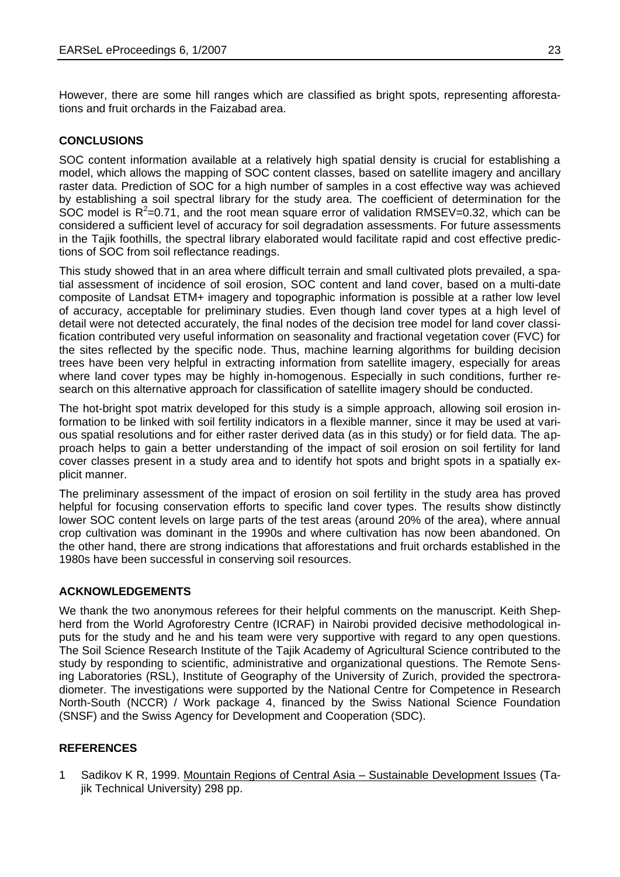However, there are some hill ranges which are classified as bright spots, representing afforestations and fruit orchards in the Faizabad area.

# **CONCLUSIONS**

SOC content information available at a relatively high spatial density is crucial for establishing a model, which allows the mapping of SOC content classes, based on satellite imagery and ancillary raster data. Prediction of SOC for a high number of samples in a cost effective way was achieved by establishing a soil spectral library for the study area. The coefficient of determination for the SOC model is  $R^2$ =0.71, and the root mean square error of validation RMSEV=0.32, which can be considered a sufficient level of accuracy for soil degradation assessments. For future assessments in the Tajik foothills, the spectral library elaborated would facilitate rapid and cost effective predictions of SOC from soil reflectance readings.

This study showed that in an area where difficult terrain and small cultivated plots prevailed, a spatial assessment of incidence of soil erosion, SOC content and land cover, based on a multi-date composite of Landsat ETM+ imagery and topographic information is possible at a rather low level of accuracy, acceptable for preliminary studies. Even though land cover types at a high level of detail were not detected accurately, the final nodes of the decision tree model for land cover classification contributed very useful information on seasonality and fractional vegetation cover (FVC) for the sites reflected by the specific node. Thus, machine learning algorithms for building decision trees have been very helpful in extracting information from satellite imagery, especially for areas where land cover types may be highly in-homogenous. Especially in such conditions, further research on this alternative approach for classification of satellite imagery should be conducted.

The hot-bright spot matrix developed for this study is a simple approach, allowing soil erosion information to be linked with soil fertility indicators in a flexible manner, since it may be used at various spatial resolutions and for either raster derived data (as in this study) or for field data. The approach helps to gain a better understanding of the impact of soil erosion on soil fertility for land cover classes present in a study area and to identify hot spots and bright spots in a spatially explicit manner.

The preliminary assessment of the impact of erosion on soil fertility in the study area has proved helpful for focusing conservation efforts to specific land cover types. The results show distinctly lower SOC content levels on large parts of the test areas (around 20% of the area), where annual crop cultivation was dominant in the 1990s and where cultivation has now been abandoned. On the other hand, there are strong indications that afforestations and fruit orchards established in the 1980s have been successful in conserving soil resources.

#### **ACKNOWLEDGEMENTS**

We thank the two anonymous referees for their helpful comments on the manuscript. Keith Shepherd from the World Agroforestry Centre (ICRAF) in Nairobi provided decisive methodological inputs for the study and he and his team were very supportive with regard to any open questions. The Soil Science Research Institute of the Tajik Academy of Agricultural Science contributed to the study by responding to scientific, administrative and organizational questions. The Remote Sensing Laboratories (RSL), Institute of Geography of the University of Zurich, provided the spectroradiometer. The investigations were supported by the National Centre for Competence in Research North-South (NCCR) / Work package 4, financed by the Swiss National Science Foundation (SNSF) and the Swiss Agency for Development and Cooperation (SDC).

## **REFERENCES**

1 Sadikov K R, 1999. Mountain Regions of Central Asia – Sustainable Development Issues (Tajik Technical University) 298 pp.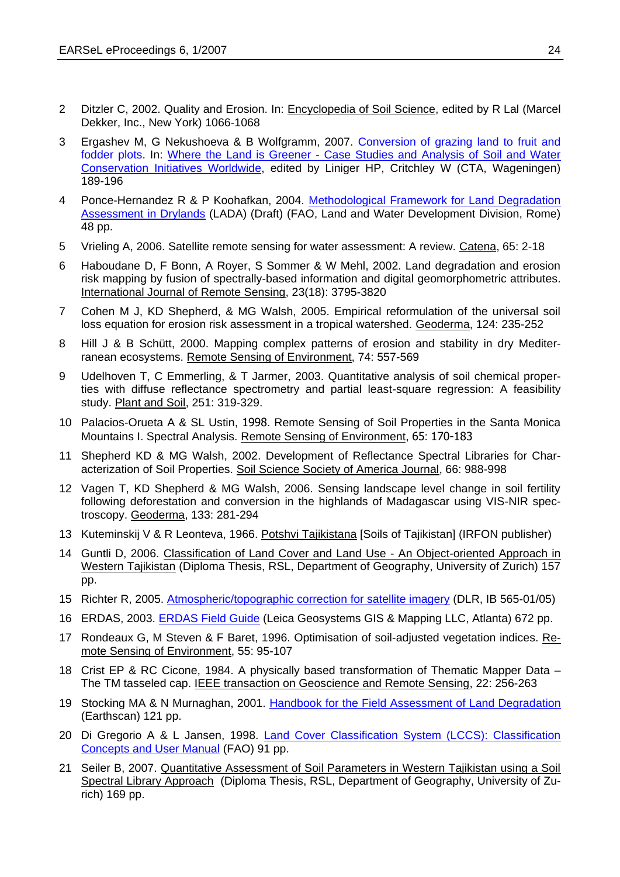- 2 Ditzler C, 2002. Quality and Erosion. In: Encyclopedia of Soil Science, edited by R Lal (Marcel Dekker, Inc., New York) 1066-1068
- 3 Ergashev M, G Nekushoeva & B Wolfgramm, 2007. [Conversion of grazing land to fruit and](http://www.wocat.org/materials/where%20the%20land%20is%20greener_PART2.2.pdf)  [fodder plots.](http://www.wocat.org/materials/where%20the%20land%20is%20greener_PART2.2.pdf) In: Where the Land is Greener - [Case Studies and Analysis of Soil and Water](http://www.wocat.org/overviewbookPDF.asp)  [Conservation Initiatives Worldwide,](http://www.wocat.org/overviewbookPDF.asp) edited by Liniger HP, Critchley W (CTA, Wageningen) 189-196
- 4 Ponce-Hernandez R & P Koohafkan, 2004. [Methodological Framework for Land Degradation](ftp://ftp.fao.org/agl/agll/lada/LADA-Methframwk-simple.pdf)  [Assessment in Drylands](ftp://ftp.fao.org/agl/agll/lada/LADA-Methframwk-simple.pdf) (LADA) (Draft) (FAO, Land and Water Development Division, Rome) 48 pp.
- 5 Vrieling A, 2006. Satellite remote sensing for water assessment: A review. Catena, 65: 2-18
- 6 Haboudane D, F Bonn, A Royer, S Sommer & W Mehl, 2002. Land degradation and erosion risk mapping by fusion of spectrally-based information and digital geomorphometric attributes. International Journal of Remote Sensing, 23(18): 3795-3820
- 7 Cohen M J, KD Shepherd, & MG Walsh, 2005. Empirical reformulation of the universal soil loss equation for erosion risk assessment in a tropical watershed. Geoderma, 124: 235-252
- 8 Hill J & B Schütt, 2000. Mapping complex patterns of erosion and stability in dry Mediterranean ecosystems. Remote Sensing of Environment, 74: 557-569
- 9 Udelhoven T, C Emmerling, & T Jarmer, 2003. Quantitative analysis of soil chemical properties with diffuse reflectance spectrometry and partial least-square regression: A feasibility study. Plant and Soil, 251: 319-329.
- 10 Palacios-Orueta A & SL Ustin, 1998. Remote Sensing of Soil Properties in the Santa Monica Mountains I. Spectral Analysis. Remote Sensing of Environment, 65: 170-183
- 11 Shepherd KD & MG Walsh, 2002. Development of Reflectance Spectral Libraries for Characterization of Soil Properties. Soil Science Society of America Journal, 66: 988-998
- 12 Vagen T, KD Shepherd & MG Walsh, 2006. Sensing landscape level change in soil fertility following deforestation and conversion in the highlands of Madagascar using VIS-NIR spectroscopy. Geoderma, 133: 281-294
- 13 Kuteminskij V & R Leonteva, 1966. Potshvi Tajikistana [Soils of Tajikistan] (IRFON publisher)
- 14 Guntli D, 2006. Classification of Land Cover and Land Use An Object-oriented Approach in Western Tajikistan (Diploma Thesis, RSL, Department of Geography, University of Zurich) 157 pp.
- 15 Richter R, 2005. [Atmospheric/topographic correction](http://hydrogis.geology.upatras.gr/res_net/data/atcor23_manual.pdf) for satellite imagery (DLR, IB 565-01/05)
- 16 ERDAS, 2003. [ERDAS Field Guide](http://support.erdas.com/documentation/files/FieldGuide.pdf) (Leica Geosystems GIS & Mapping LLC, Atlanta) 672 pp.
- 17 Rondeaux G, M Steven & F Baret, 1996. Optimisation of soil-adjusted vegetation indices. Remote Sensing of Environment, 55: 95-107
- 18 Crist EP & RC Cicone, 1984. A physically based transformation of Thematic Mapper Data The TM tasseled cap. IEEE transaction on Geoscience and Remote Sensing, 22: 256-263
- 19 Stocking MA & N Murnaghan, 2001. [Handbook for the Field Assessment of Land Degradation](http://www.unu.edu/env/plec/l-degrade/index-toc.html) (Earthscan) 121 pp.
- 20 Di Gregorio A & L Jansen, 1998. Land Cover Classification System (LCCS): Classification [Concepts and User Manual](http://www.fao.org/DOCREP/003/X0596E/X0596E00.HTM) (FAO) 91 pp.
- 21 Seiler B, 2007. Quantitative Assessment of Soil Parameters in Western Tajikistan using a Soil Spectral Library Approach (Diploma Thesis, RSL, Department of Geography, University of Zurich) 169 pp.